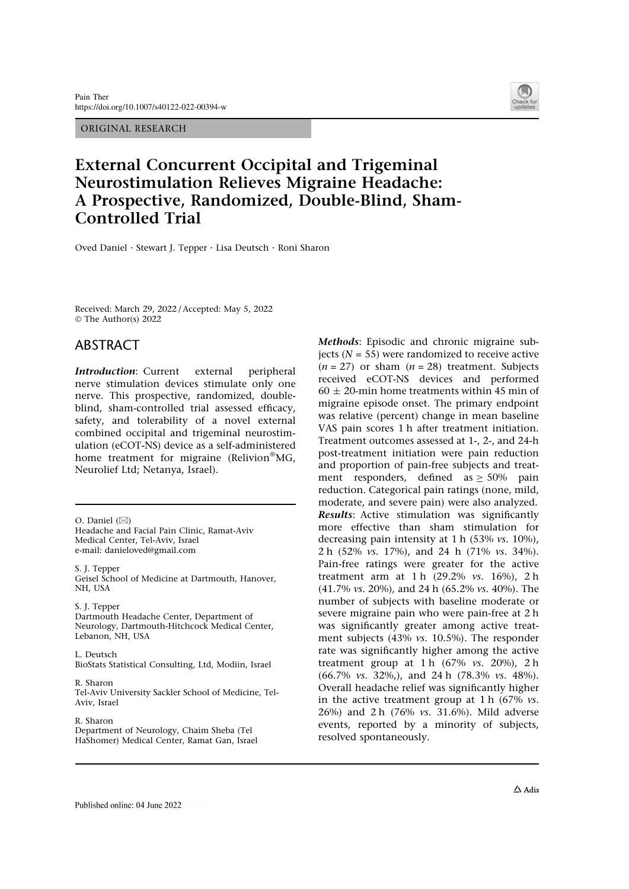ORIGINAL RESEARCH



# External Concurrent Occipital and Trigeminal Neurostimulation Relieves Migraine Headache: A Prospective, Randomized, Double-Blind, Sham-Controlled Trial

Oved Daniel . Stewart J. Tepper . Lisa Deutsch . Roni Sharon

Received: March 29, 2022 / Accepted: May 5, 2022  $© The Author(s) 2022$ 

# ABSTRACT

**Introduction:** Current external peripheral nerve stimulation devices stimulate only one nerve. This prospective, randomized, doubleblind, sham-controlled trial assessed efficacy, safety, and tolerability of a novel external combined occipital and trigeminal neurostimulation (eCOT-NS) device as a self-administered home treatment for migraine (Relivion<sup>®</sup>MG, Neurolief Ltd; Netanya, Israel).

 $O.$  Daniel  $(\boxtimes)$ 

Headache and Facial Pain Clinic, Ramat-Aviv Medical Center, Tel-Aviv, Israel e-mail: danieloved@gmail.com

S. J. Tepper Geisel School of Medicine at Dartmouth, Hanover, NH, USA

S. J. Tepper Dartmouth Headache Center, Department of Neurology, Dartmouth-Hitchcock Medical Center, Lebanon, NH, USA

L. Deutsch BioStats Statistical Consulting, Ltd, Modiin, Israel

R. Sharon Tel-Aviv University Sackler School of Medicine, Tel-Aviv, Israel

R. Sharon Department of Neurology, Chaim Sheba (Tel HaShomer) Medical Center, Ramat Gan, Israel Methods: Episodic and chronic migraine subjects ( $N = 55$ ) were randomized to receive active  $(n = 27)$  or sham  $(n = 28)$  treatment. Subjects received eCOT-NS devices and performed  $60 \pm 20$ -min home treatments within 45 min of migraine episode onset. The primary endpoint was relative (percent) change in mean baseline VAS pain scores 1 h after treatment initiation. Treatment outcomes assessed at 1-, 2-, and 24-h post-treatment initiation were pain reduction and proportion of pain-free subjects and treatment responders, defined as  $\geq$  50% pain reduction. Categorical pain ratings (none, mild, moderate, and severe pain) were also analyzed. Results: Active stimulation was significantly more effective than sham stimulation for decreasing pain intensity at 1 h (53% vs. 10%), 2 h (52% vs. 17%), and 24 h (71% vs. 34%). Pain-free ratings were greater for the active treatment arm at  $1 h$  (29.2% vs. 16%),  $2 h$ (41.7% vs. 20%), and 24 h (65.2% vs. 40%). The number of subjects with baseline moderate or severe migraine pain who were pain-free at 2 h was significantly greater among active treatment subjects (43% vs. 10.5%). The responder rate was significantly higher among the active treatment group at 1 h  $(67\%$  vs. 20%), 2 h (66.7% vs. 32%,), and 24 h (78.3% vs. 48%). Overall headache relief was significantly higher in the active treatment group at 1 h  $(67\% \text{ vs.}$ 26%) and 2 h (76% vs. 31.6%). Mild adverse events, reported by a minority of subjects, resolved spontaneously.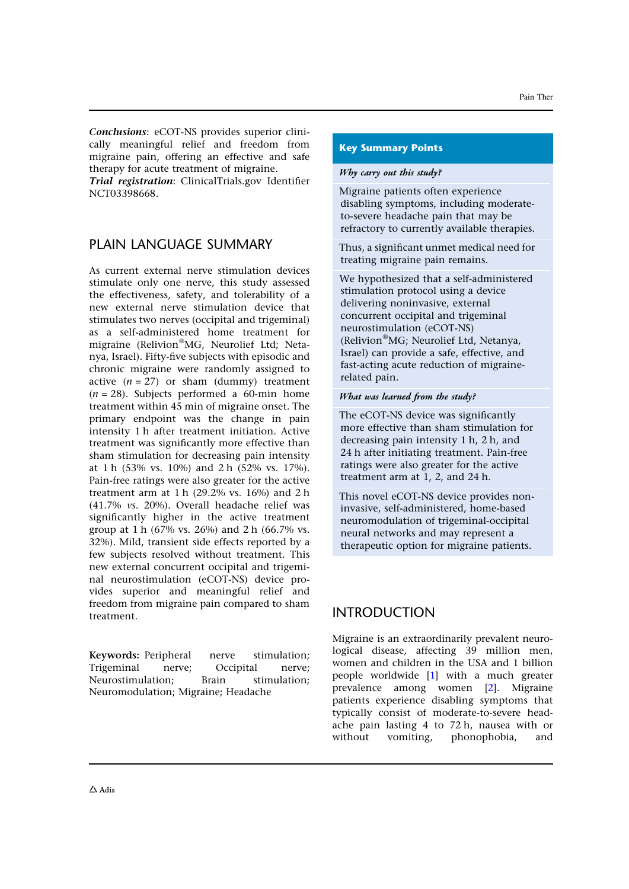Conclusions: eCOT-NS provides superior clinically meaningful relief and freedom from migraine pain, offering an effective and safe therapy for acute treatment of migraine.

Trial registration: ClinicalTrials.gov Identifier NCT03398668.

# PLAIN LANGUAGE SUMMARY

As current external nerve stimulation devices stimulate only one nerve, this study assessed the effectiveness, safety, and tolerability of a new external nerve stimulation device that stimulates two nerves (occipital and trigeminal) as a self-administered home treatment for migraine (Relivion®MG, Neurolief Ltd; Netanya, Israel). Fifty-five subjects with episodic and chronic migraine were randomly assigned to active  $(n = 27)$  or sham (dummy) treatment  $(n = 28)$ . Subjects performed a 60-min home treatment within 45 min of migraine onset. The primary endpoint was the change in pain intensity 1 h after treatment initiation. Active treatment was significantly more effective than sham stimulation for decreasing pain intensity at 1 h (53% vs. 10%) and 2 h (52% vs. 17%). Pain-free ratings were also greater for the active treatment arm at 1 h (29.2% vs. 16%) and 2 h (41.7% vs. 20%). Overall headache relief was significantly higher in the active treatment group at 1 h (67% vs. 26%) and 2 h (66.7% vs. 32%). Mild, transient side effects reported by a few subjects resolved without treatment. This new external concurrent occipital and trigeminal neurostimulation (eCOT-NS) device provides superior and meaningful relief and freedom from migraine pain compared to sham treatment.

Keywords: Peripheral nerve stimulation; Trigeminal nerve; Occipital nerve; Neurostimulation; Brain stimulation; Neuromodulation; Migraine; Headache

#### Key Summary Points

#### Why carry out this study?

Migraine patients often experience disabling symptoms, including moderateto-severe headache pain that may be refractory to currently available therapies.

Thus, a significant unmet medical need for treating migraine pain remains.

We hypothesized that a self-administered stimulation protocol using a device delivering noninvasive, external concurrent occipital and trigeminal neurostimulation (eCOT-NS) (Relivion"MG; Neurolief Ltd, Netanya, Israel) can provide a safe, effective, and fast-acting acute reduction of migrainerelated pain.

#### What was learned from the study?

The eCOT-NS device was significantly more effective than sham stimulation for decreasing pain intensity 1 h, 2 h, and 24 h after initiating treatment. Pain-free ratings were also greater for the active treatment arm at 1, 2, and 24 h.

This novel eCOT-NS device provides noninvasive, self-administered, home-based neuromodulation of trigeminal-occipital neural networks and may represent a therapeutic option for migraine patients.

# INTRODUCTION

Migraine is an extraordinarily prevalent neurological disease, affecting 39 million men, women and children in the USA and 1 billion people worldwide [1] with a much greater prevalence among women [2]. Migraine patients experience disabling symptoms that typically consist of moderate-to-severe headache pain lasting 4 to 72 h, nausea with or without vomiting, phonophobia, and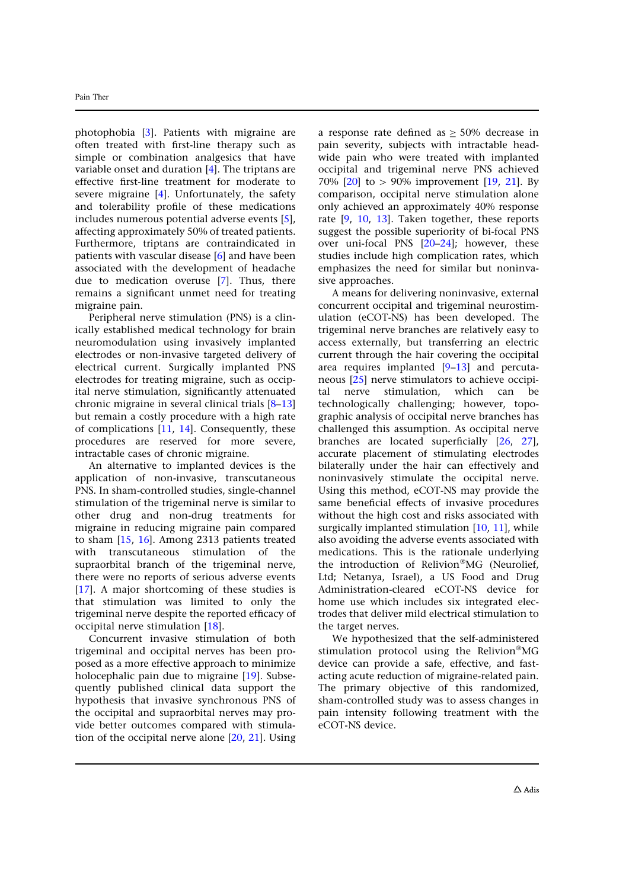photophobia [3]. Patients with migraine are often treated with first-line therapy such as simple or combination analgesics that have variable onset and duration [4]. The triptans are effective first-line treatment for moderate to severe migraine [4]. Unfortunately, the safety and tolerability profile of these medications includes numerous potential adverse events [5], affecting approximately 50% of treated patients. Furthermore, triptans are contraindicated in patients with vascular disease [6] and have been associated with the development of headache due to medication overuse [7]. Thus, there remains a significant unmet need for treating migraine pain.

Peripheral nerve stimulation (PNS) is a clinically established medical technology for brain neuromodulation using invasively implanted electrodes or non-invasive targeted delivery of electrical current. Surgically implanted PNS electrodes for treating migraine, such as occipital nerve stimulation, significantly attenuated chronic migraine in several clinical trials [8–13] but remain a costly procedure with a high rate of complications [11, 14]. Consequently, these procedures are reserved for more severe, intractable cases of chronic migraine.

An alternative to implanted devices is the application of non-invasive, transcutaneous PNS. In sham-controlled studies, single-channel stimulation of the trigeminal nerve is similar to other drug and non-drug treatments for migraine in reducing migraine pain compared to sham [15, 16]. Among 2313 patients treated with transcutaneous stimulation of the supraorbital branch of the trigeminal nerve, there were no reports of serious adverse events [17]. A major shortcoming of these studies is that stimulation was limited to only the trigeminal nerve despite the reported efficacy of occipital nerve stimulation [18].

Concurrent invasive stimulation of both trigeminal and occipital nerves has been proposed as a more effective approach to minimize holocephalic pain due to migraine [19]. Subsequently published clinical data support the hypothesis that invasive synchronous PNS of the occipital and supraorbital nerves may provide better outcomes compared with stimulation of the occipital nerve alone [20, 21]. Using

a response rate defined as  $\geq$  50% decrease in pain severity, subjects with intractable headwide pain who were treated with implanted occipital and trigeminal nerve PNS achieved 70%  $[20]$  to  $> 90\%$  improvement  $[19, 21]$ . By comparison, occipital nerve stimulation alone only achieved an approximately 40% response rate [9, 10, 13]. Taken together, these reports suggest the possible superiority of bi-focal PNS over uni-focal PNS [20–24]; however, these studies include high complication rates, which emphasizes the need for similar but noninvasive approaches.

A means for delivering noninvasive, external concurrent occipital and trigeminal neurostimulation (eCOT-NS) has been developed. The trigeminal nerve branches are relatively easy to access externally, but transferring an electric current through the hair covering the occipital area requires implanted [9–13] and percutaneous [25] nerve stimulators to achieve occipital nerve stimulation, which can be technologically challenging; however, topographic analysis of occipital nerve branches has challenged this assumption. As occipital nerve branches are located superficially [26, 27], accurate placement of stimulating electrodes bilaterally under the hair can effectively and noninvasively stimulate the occipital nerve. Using this method, eCOT-NS may provide the same beneficial effects of invasive procedures without the high cost and risks associated with surgically implanted stimulation [10, 11], while also avoiding the adverse events associated with medications. This is the rationale underlying the introduction of Relivion"MG (Neurolief, Ltd; Netanya, Israel), a US Food and Drug Administration-cleared eCOT-NS device for home use which includes six integrated electrodes that deliver mild electrical stimulation to the target nerves.

We hypothesized that the self-administered stimulation protocol using the Relivion®MG device can provide a safe, effective, and fastacting acute reduction of migraine-related pain. The primary objective of this randomized, sham-controlled study was to assess changes in pain intensity following treatment with the eCOT-NS device.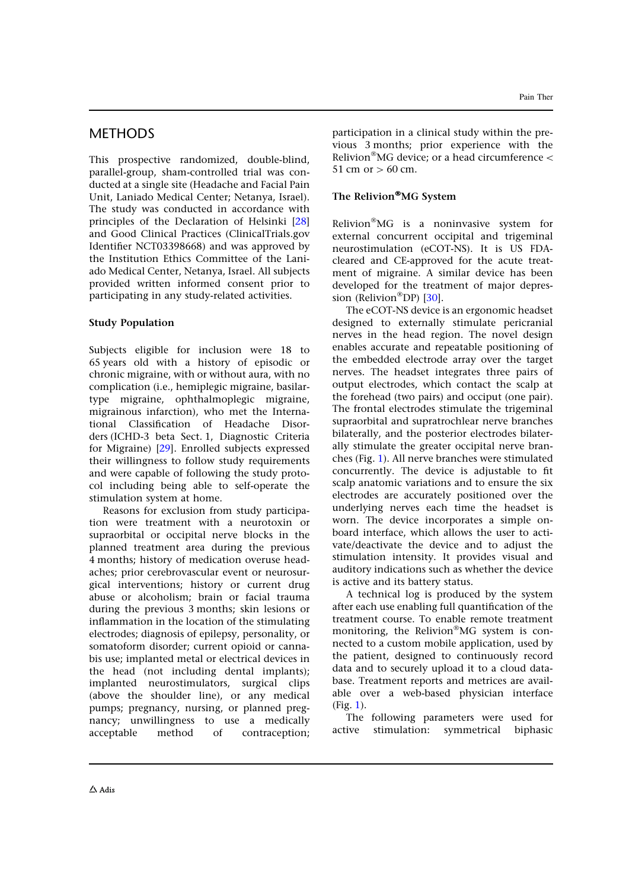# **METHODS**

This prospective randomized, double-blind, parallel-group, sham-controlled trial was conducted at a single site (Headache and Facial Pain Unit, Laniado Medical Center; Netanya, Israel). The study was conducted in accordance with principles of the Declaration of Helsinki [28] and Good Clinical Practices (ClinicalTrials.gov Identifier NCT03398668) and was approved by the Institution Ethics Committee of the Laniado Medical Center, Netanya, Israel. All subjects provided written informed consent prior to participating in any study-related activities.

#### Study Population

Subjects eligible for inclusion were 18 to 65 years old with a history of episodic or chronic migraine, with or without aura, with no complication (i.e., hemiplegic migraine, basilartype migraine, ophthalmoplegic migraine, migrainous infarction), who met the International Classification of Headache Disorders (ICHD-3 beta Sect. 1, Diagnostic Criteria for Migraine) [29]. Enrolled subjects expressed their willingness to follow study requirements and were capable of following the study protocol including being able to self-operate the stimulation system at home.

Reasons for exclusion from study participation were treatment with a neurotoxin or supraorbital or occipital nerve blocks in the planned treatment area during the previous 4 months; history of medication overuse headaches; prior cerebrovascular event or neurosurgical interventions; history or current drug abuse or alcoholism; brain or facial trauma during the previous 3 months; skin lesions or inflammation in the location of the stimulating electrodes; diagnosis of epilepsy, personality, or somatoform disorder; current opioid or cannabis use; implanted metal or electrical devices in the head (not including dental implants); implanted neurostimulators, surgical clips (above the shoulder line), or any medical pumps; pregnancy, nursing, or planned pregnancy; unwillingness to use a medically acceptable method of contraception; participation in a clinical study within the previous 3 months; prior experience with the Relivion"MG device; or a head circumference\ 51 cm or  $>60$  cm.

### The Relivion®MG System

Relivion"MG is a noninvasive system for external concurrent occipital and trigeminal neurostimulation (eCOT-NS). It is US FDAcleared and CE-approved for the acute treatment of migraine. A similar device has been developed for the treatment of major depression (Relivion<sup>®</sup>DP) [30].

The eCOT-NS device is an ergonomic headset designed to externally stimulate pericranial nerves in the head region. The novel design enables accurate and repeatable positioning of the embedded electrode array over the target nerves. The headset integrates three pairs of output electrodes, which contact the scalp at the forehead (two pairs) and occiput (one pair). The frontal electrodes stimulate the trigeminal supraorbital and supratrochlear nerve branches bilaterally, and the posterior electrodes bilaterally stimulate the greater occipital nerve branches (Fig. 1). All nerve branches were stimulated concurrently. The device is adjustable to fit scalp anatomic variations and to ensure the six electrodes are accurately positioned over the underlying nerves each time the headset is worn. The device incorporates a simple onboard interface, which allows the user to activate/deactivate the device and to adjust the stimulation intensity. It provides visual and auditory indications such as whether the device is active and its battery status.

A technical log is produced by the system after each use enabling full quantification of the treatment course. To enable remote treatment monitoring, the Relivion<sup>®</sup>MG system is connected to a custom mobile application, used by the patient, designed to continuously record data and to securely upload it to a cloud database. Treatment reports and metrices are available over a web-based physician interface (Fig. 1).

The following parameters were used for active stimulation: symmetrical biphasic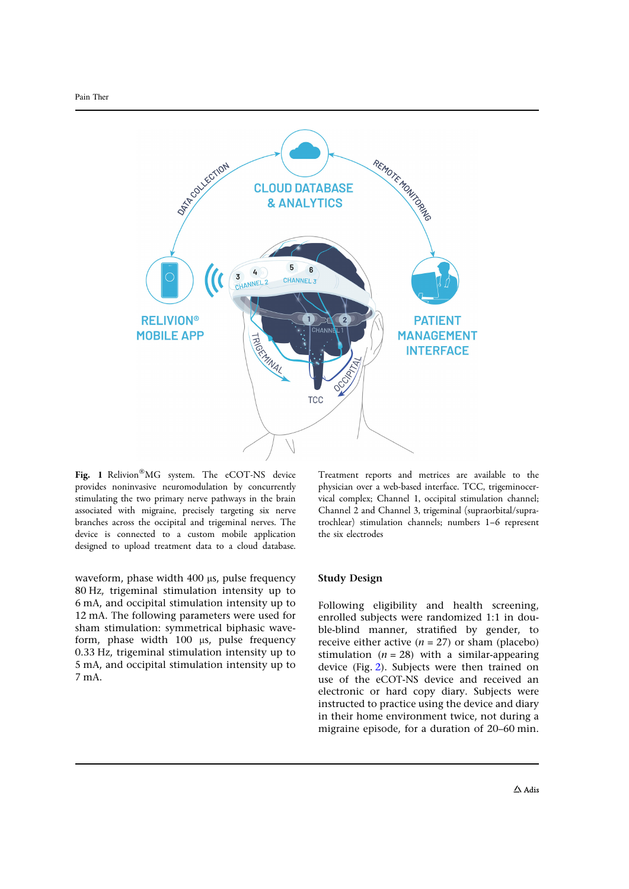

Fig. 1 Relivion"MG system. The eCOT-NS device provides noninvasive neuromodulation by concurrently stimulating the two primary nerve pathways in the brain associated with migraine, precisely targeting six nerve branches across the occipital and trigeminal nerves. The device is connected to a custom mobile application designed to upload treatment data to a cloud database.

waveform, phase width  $400 \mu s$ , pulse frequency 80 Hz, trigeminal stimulation intensity up to 6 mA, and occipital stimulation intensity up to 12 mA. The following parameters were used for sham stimulation: symmetrical biphasic waveform, phase width  $100$   $\mu$ s, pulse frequency 0.33 Hz, trigeminal stimulation intensity up to 5 mA, and occipital stimulation intensity up to 7 mA.

Treatment reports and metrices are available to the physician over a web-based interface. TCC, trigeminocervical complex; Channel 1, occipital stimulation channel; Channel 2 and Channel 3, trigeminal (supraorbital/supratrochlear) stimulation channels; numbers 1–6 represent the six electrodes

#### Study Design

Following eligibility and health screening, enrolled subjects were randomized 1:1 in double-blind manner, stratified by gender, to receive either active  $(n = 27)$  or sham (placebo) stimulation  $(n = 28)$  with a similar-appearing device (Fig. 2). Subjects were then trained on use of the eCOT-NS device and received an electronic or hard copy diary. Subjects were instructed to practice using the device and diary in their home environment twice, not during a migraine episode, for a duration of 20–60 min.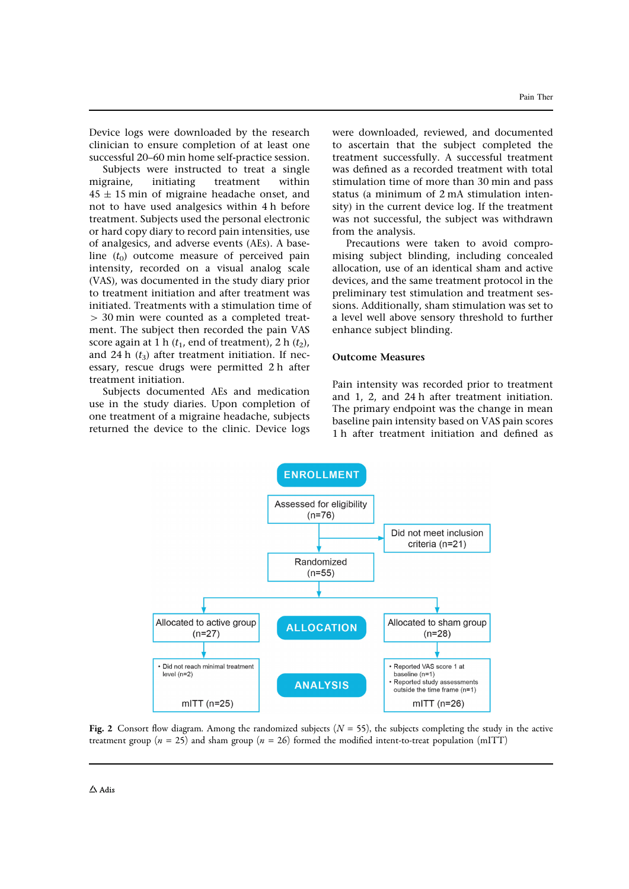Device logs were downloaded by the research clinician to ensure completion of at least one successful 20–60 min home self-practice session.

Subjects were instructed to treat a single migraine, initiating treatment within  $45 \pm 15$  min of migraine headache onset, and not to have used analgesics within 4 h before treatment. Subjects used the personal electronic or hard copy diary to record pain intensities, use of analgesics, and adverse events (AEs). A baseline  $(t_0)$  outcome measure of perceived pain intensity, recorded on a visual analog scale (VAS), was documented in the study diary prior to treatment initiation and after treatment was initiated. Treatments with a stimulation time of [ 30 min were counted as a completed treatment. The subject then recorded the pain VAS score again at 1 h ( $t_1$ , end of treatment), 2 h ( $t_2$ ), and 24 h  $(t_3)$  after treatment initiation. If necessary, rescue drugs were permitted 2 h after treatment initiation.

Subjects documented AEs and medication use in the study diaries. Upon completion of one treatment of a migraine headache, subjects returned the device to the clinic. Device logs were downloaded, reviewed, and documented to ascertain that the subject completed the treatment successfully. A successful treatment was defined as a recorded treatment with total stimulation time of more than 30 min and pass status (a minimum of 2 mA stimulation intensity) in the current device log. If the treatment was not successful, the subject was withdrawn from the analysis.

Precautions were taken to avoid compromising subject blinding, including concealed allocation, use of an identical sham and active devices, and the same treatment protocol in the preliminary test stimulation and treatment sessions. Additionally, sham stimulation was set to a level well above sensory threshold to further enhance subject blinding.

#### Outcome Measures

Pain intensity was recorded prior to treatment and 1, 2, and 24 h after treatment initiation. The primary endpoint was the change in mean baseline pain intensity based on VAS pain scores 1 h after treatment initiation and defined as



Fig. 2 Consort flow diagram. Among the randomized subjects  $(N = 55)$ , the subjects completing the study in the active treatment group ( $n = 25$ ) and sham group ( $n = 26$ ) formed the modified intent-to-treat population (mITT)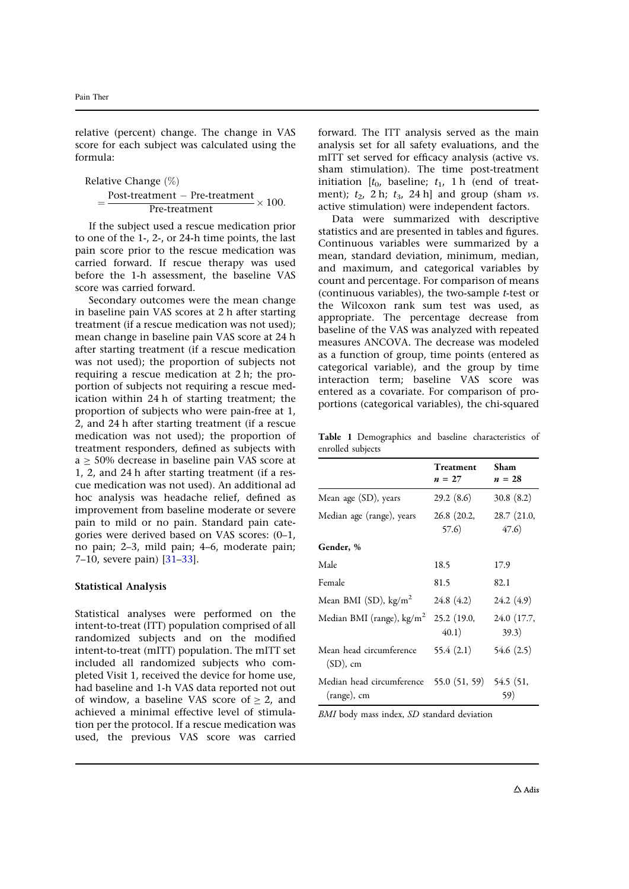relative (percent) change. The change in VAS score for each subject was calculated using the formula:

Relative Change 
$$
(\%)
$$
  
=  $\frac{\text{Post-treatment} - \text{Pre-treatment}}{\text{Pre-treatment}} \times 100.$ 

If the subject used a rescue medication prior to one of the 1-, 2-, or 24-h time points, the last pain score prior to the rescue medication was carried forward. If rescue therapy was used before the 1-h assessment, the baseline VAS score was carried forward.

Secondary outcomes were the mean change in baseline pain VAS scores at 2 h after starting treatment (if a rescue medication was not used); mean change in baseline pain VAS score at 24 h after starting treatment (if a rescue medication was not used); the proportion of subjects not requiring a rescue medication at 2 h; the proportion of subjects not requiring a rescue medication within 24 h of starting treatment; the proportion of subjects who were pain-free at 1, 2, and 24 h after starting treatment (if a rescue medication was not used); the proportion of treatment responders, defined as subjects with  $a \geq 50\%$  decrease in baseline pain VAS score at 1, 2, and 24 h after starting treatment (if a rescue medication was not used). An additional ad hoc analysis was headache relief, defined as improvement from baseline moderate or severe pain to mild or no pain. Standard pain categories were derived based on VAS scores: (0–1, no pain; 2–3, mild pain; 4–6, moderate pain; 7–10, severe pain) [31–33].

#### Statistical Analysis

Statistical analyses were performed on the intent-to-treat (ITT) population comprised of all randomized subjects and on the modified intent-to-treat (mITT) population. The mITT set included all randomized subjects who completed Visit 1, received the device for home use, had baseline and 1-h VAS data reported not out of window, a baseline VAS score of  $> 2$ , and achieved a minimal effective level of stimulation per the protocol. If a rescue medication was used, the previous VAS score was carried

forward. The ITT analysis served as the main analysis set for all safety evaluations, and the mITT set served for efficacy analysis (active vs. sham stimulation). The time post-treatment initiation  $[t_0,$  baseline;  $t_1$ , 1 h (end of treatment);  $t_2$ , 2 h;  $t_3$ , 24 h] and group (sham *vs*. active stimulation) were independent factors.

Data were summarized with descriptive statistics and are presented in tables and figures. Continuous variables were summarized by a mean, standard deviation, minimum, median, and maximum, and categorical variables by count and percentage. For comparison of means (continuous variables), the two-sample t-test or the Wilcoxon rank sum test was used, as appropriate. The percentage decrease from baseline of the VAS was analyzed with repeated measures ANCOVA. The decrease was modeled as a function of group, time points (entered as categorical variable), and the group by time interaction term; baseline VAS score was entered as a covariate. For comparison of proportions (categorical variables), the chi-squared

Table 1 Demographics and baseline characteristics of enrolled subjects

|                                                        | Treatment<br>$n = 27$ | Sham<br>$n = 28$      |
|--------------------------------------------------------|-----------------------|-----------------------|
| Mean age (SD), years                                   | 29.2(8.6)             | 30.8(8.2)             |
| Median age (range), years                              | 26.8 (20.2,<br>57.6)  | 28.7 (21.0,<br>(47.6) |
| Gender, %                                              |                       |                       |
| Male                                                   | 18.5                  | 17.9                  |
| Female                                                 | 81.5                  | 82.1                  |
| Mean BMI (SD), kg/m <sup>2</sup>                       | 24.8 (4.2)            | 24.2 (4.9)            |
| Median BMI (range), $\text{kg/m}^2$                    | 25.2 (19.0,<br>(40.1) | 24.0 (17.7,<br>39.3)  |
| Mean head circumference<br>$(SD)$ , cm                 | 55.4(2.1)             | 54.6 (2.5)            |
| Median head circumference 55.0 (51, 59)<br>(range), cm |                       | 54.5 (51,<br>59)      |

BMI body mass index, SD standard deviation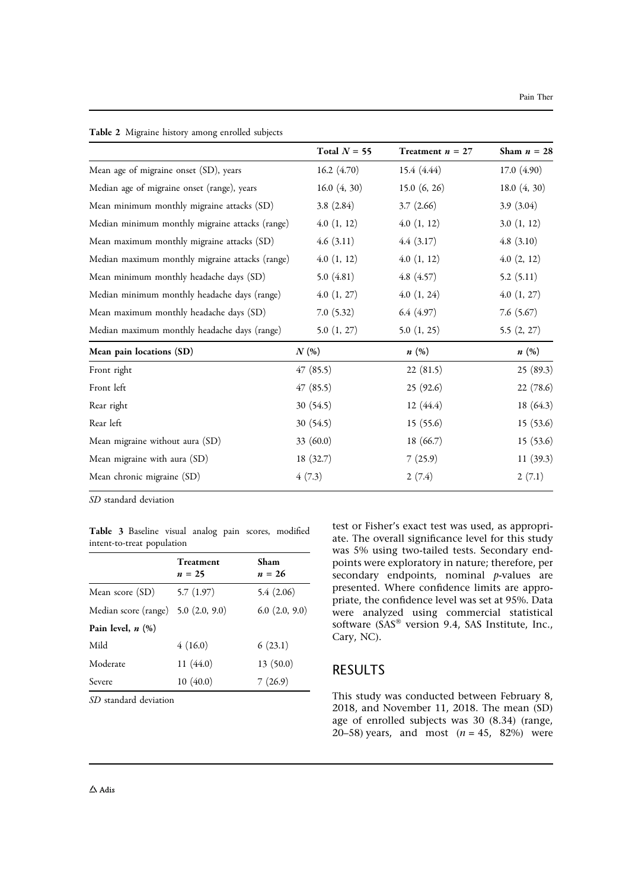| <b>Table 2</b> Migraine history among enrolled subjects |                |                    |                 |
|---------------------------------------------------------|----------------|--------------------|-----------------|
|                                                         | Total $N = 55$ | Treatment $n = 27$ | Sham $n = 28$   |
| Mean age of migraine onset (SD), years                  | 16.2 $(4.70)$  | 15.4(4.44)         | 17.0(4.90)      |
| Median age of migraine onset (range), years             | 16.0(4, 30)    | 15.0(6, 26)        | 18.0 $(4, 30)$  |
| Mean minimum monthly migraine attacks (SD)              | 3.8(2.84)      | 3.7(2.66)          | 3.9(3.04)       |
| Median minimum monthly migraine attacks (range)         | 4.0(1, 12)     | 4.0(1, 12)         | 3.0(1, 12)      |
| Mean maximum monthly migraine attacks (SD)              | 4.6(3.11)      | 4.4(3.17)          | 4.8(3.10)       |
| Median maximum monthly migraine attacks (range)         | 4.0(1, 12)     | 4.0(1, 12)         | $4.0$ $(2, 12)$ |
| Mean minimum monthly headache days (SD)                 | 5.0 $(4.81)$   | 4.8(4.57)          | 5.2(5.11)       |
| Median minimum monthly headache days (range)            | 4.0(1, 27)     | 4.0(1, 24)         | 4.0(1, 27)      |
| Mean maximum monthly headache days (SD)                 | 7.0(5.32)      | 6.4(4.97)          | 7.6 $(5.67)$    |
| Median maximum monthly headache days (range)            | 5.0 $(1, 27)$  | 5.0(1, 25)         | 5.5(2, 27)      |
| Mean pain locations (SD)                                | N(%)           | n(%)               | n(%)            |
| Front right                                             | 47(85.5)       | 22(81.5)           | 25(89.3)        |
| Front left                                              | 47(85.5)       | 25(92.6)           | 22(78.6)        |
| Rear right                                              | 30(54.5)       | 12(44.4)           | 18(64.3)        |
| Rear left                                               | 30(54.5)       | 15(55.6)           | 15(53.6)        |
| Mean migraine without aura (SD)                         | 33 $(60.0)$    | 18(66.7)           | 15(53.6)        |
| Mean migraine with aura (SD)                            | 18(32.7)       | 7(25.9)            | 11(39.3)        |
| Mean chronic migraine (SD)                              | 4(7.3)         | 2(7.4)             | 2(7.1)          |
|                                                         |                |                    |                 |

 $T$  Table 2 Migrant  $\sim$  Migrant subjects and the subjects of  $T$ 

SD standard deviation

Table 3 Baseline visual analog pain scores, modified intent-to-treat population

|                                     | <b>Treatment</b><br>$n = 25$ | Sham<br>$n = 26$   |
|-------------------------------------|------------------------------|--------------------|
| Mean score (SD)                     | 5.7(1.97)                    | 5.4(2.06)          |
| Median score (range) 5.0 (2.0, 9.0) |                              | $6.0$ $(2.0, 9.0)$ |
| Pain level, $n$ $(\%)$              |                              |                    |
| Mild                                | 4(16.0)                      | 6(23.1)            |
| Moderate                            | 11(44.0)                     | 13(50.0)           |
| Severe                              | 10(40.0)                     | 7(26.9)            |

SD standard deviation

test or Fisher's exact test was used, as appropriate. The overall significance level for this study was 5% using two-tailed tests. Secondary endpoints were exploratory in nature; therefore, per secondary endpoints, nominal  $p$ -values are presented. Where confidence limits are appropriate, the confidence level was set at 95%. Data were analyzed using commercial statistical software (SAS" version 9.4, SAS Institute, Inc., Cary, NC).

# RESULTS

This study was conducted between February 8, 2018, and November 11, 2018. The mean (SD) age of enrolled subjects was 30 (8.34) (range, 20–58) years, and most  $(n = 45, 82%)$  were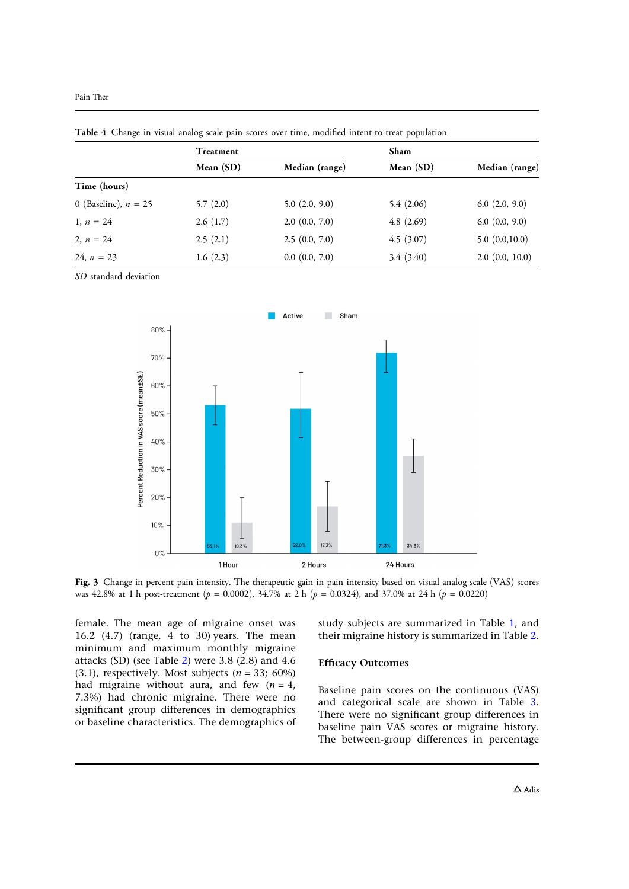|                        | <b>Treatment</b> |                    | Sham        |                     |
|------------------------|------------------|--------------------|-------------|---------------------|
|                        | Mean (SD)        | Median (range)     | Mean $(SD)$ | Median (range)      |
| Time (hours)           |                  |                    |             |                     |
| 0 (Baseline), $n = 25$ | 5.7(2.0)         | $5.0$ $(2.0, 9.0)$ | 5.4(2.06)   | $6.0$ $(2.0, 9.0)$  |
| 1, $n = 24$            | 2.6(1.7)         | $2.0$ $(0.0, 7.0)$ | 4.8(2.69)   | $6.0$ $(0.0, 9.0)$  |
| 2, $n = 24$            | 2.5(2.1)         | 2.5(0.0, 7.0)      | 4.5(3.07)   | 5.0(0.0,10.0)       |
| 24, $n = 23$           | 1.6(2.3)         | $0.0$ $(0.0, 7.0)$ | 3.4(3.40)   | $2.0$ $(0.0, 10.0)$ |

Table 4 Change in visual analog scale pain scores over time, modified intent-to-treat population

SD standard deviation



Fig. 3 Change in percent pain intensity. The therapeutic gain in pain intensity based on visual analog scale (VAS) scores was 42.8% at 1 h post-treatment ( $p = 0.0002$ ), 34.7% at 2 h ( $p = 0.0324$ ), and 37.0% at 24 h ( $p = 0.0220$ )

female. The mean age of migraine onset was 16.2 (4.7) (range, 4 to 30) years. The mean minimum and maximum monthly migraine attacks (SD) (see Table 2) were 3.8 (2.8) and 4.6 (3.1), respectively. Most subjects  $(n = 33; 60\%)$ had migraine without aura, and few  $(n = 4)$ , 7.3%) had chronic migraine. There were no significant group differences in demographics or baseline characteristics. The demographics of study subjects are summarized in Table 1, and their migraine history is summarized in Table 2.

#### Efficacy Outcomes

Baseline pain scores on the continuous (VAS) and categorical scale are shown in Table 3. There were no significant group differences in baseline pain VAS scores or migraine history. The between-group differences in percentage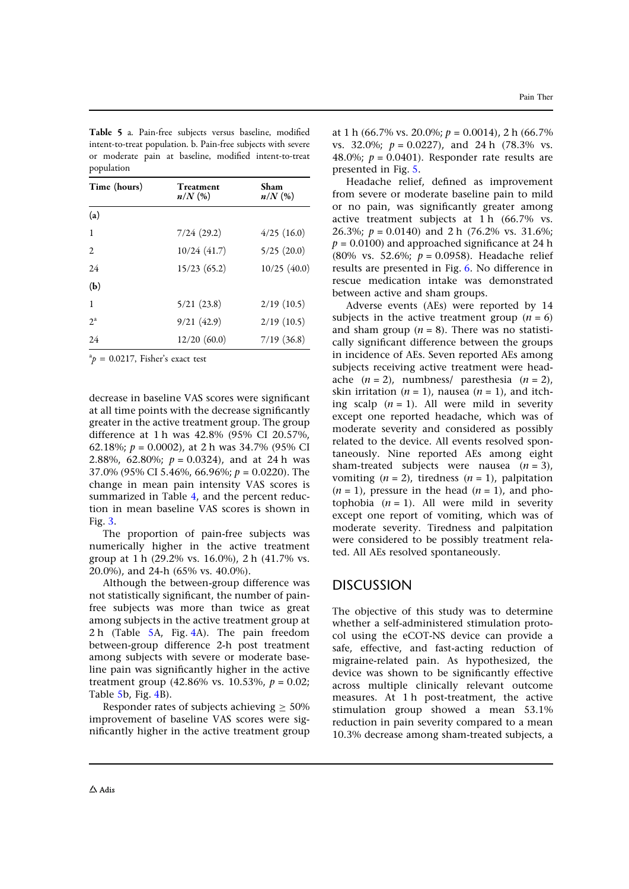| Time (hours) | Treatment<br>$n/N$ (%) | Sham<br>$n/N$ (%) |
|--------------|------------------------|-------------------|
| (a)          |                        |                   |
| 1            | 7/24(29.2)             | $4/25$ (16.0)     |
| 2            | 10/24(41.7)            | 5/25(20.0)        |
| 24           | 15/23(65.2)            | 10/25(40.0)       |
| (b)          |                        |                   |
| 1            | 5/21(23.8)             | 2/19(10.5)        |
| $2^a$        | 9/21(42.9)             | 2/19(10.5)        |
| 24           | 12/20(60.0)            | 7/19(36.8)        |

Table 5 a. Pain-free subjects versus baseline, modified intent-to-treat population. b. Pain-free subjects with severe or moderate pain at baseline, modified intent-to-treat population

 ${}^{a}p = 0.0217$ , Fisher's exact test

decrease in baseline VAS scores were significant at all time points with the decrease significantly greater in the active treatment group. The group difference at 1 h was 42.8% (95% CI 20.57%, 62.18%;  $p = 0.0002$ ), at 2 h was 34.7% (95% CI 2.88%, 62.80%;  $p = 0.0324$ ), and at 24 h was 37.0% (95% CI 5.46%, 66.96%;  $p = 0.0220$ ). The change in mean pain intensity VAS scores is summarized in Table 4, and the percent reduction in mean baseline VAS scores is shown in Fig. 3.

The proportion of pain-free subjects was numerically higher in the active treatment group at 1 h (29.2% vs. 16.0%), 2 h (41.7% vs. 20.0%), and 24-h (65% vs. 40.0%).

Although the between-group difference was not statistically significant, the number of painfree subjects was more than twice as great among subjects in the active treatment group at 2 h (Table 5A, Fig. 4A). The pain freedom between-group difference 2-h post treatment among subjects with severe or moderate baseline pain was significantly higher in the active treatment group (42.86% vs. 10.53%,  $p = 0.02$ ; Table 5b, Fig. 4B).

Responder rates of subjects achieving  $\geq 50\%$ improvement of baseline VAS scores were significantly higher in the active treatment group at 1 h (66.7% vs. 20.0%;  $p = 0.0014$ ), 2 h (66.7%) vs. 32.0%;  $p = 0.0227$ , and 24 h (78.3% vs. 48.0%;  $p = 0.0401$ ). Responder rate results are presented in Fig. 5.

Headache relief, defined as improvement from severe or moderate baseline pain to mild or no pain, was significantly greater among active treatment subjects at 1 h (66.7% vs. 26.3%;  $p = 0.0140$  and 2 h (76.2% vs. 31.6%;  $p = 0.0100$ ) and approached significance at 24 h (80% vs. 52.6%;  $p = 0.0958$ ). Headache relief results are presented in Fig. 6. No difference in rescue medication intake was demonstrated between active and sham groups.

Adverse events (AEs) were reported by 14 subjects in the active treatment group  $(n = 6)$ and sham group ( $n = 8$ ). There was no statistically significant difference between the groups in incidence of AEs. Seven reported AEs among subjects receiving active treatment were headache  $(n = 2)$ , numbness/ paresthesia  $(n = 2)$ , skin irritation ( $n = 1$ ), nausea ( $n = 1$ ), and itching scalp  $(n = 1)$ . All were mild in severity except one reported headache, which was of moderate severity and considered as possibly related to the device. All events resolved spontaneously. Nine reported AEs among eight sham-treated subjects were nausea  $(n = 3)$ , vomiting  $(n = 2)$ , tiredness  $(n = 1)$ , palpitation  $(n = 1)$ , pressure in the head  $(n = 1)$ , and photophobia  $(n = 1)$ . All were mild in severity except one report of vomiting, which was of moderate severity. Tiredness and palpitation were considered to be possibly treatment related. All AEs resolved spontaneously.

# **DISCUSSION**

The objective of this study was to determine whether a self-administered stimulation protocol using the eCOT-NS device can provide a safe, effective, and fast-acting reduction of migraine-related pain. As hypothesized, the device was shown to be significantly effective across multiple clinically relevant outcome measures. At 1 h post-treatment, the active stimulation group showed a mean 53.1% reduction in pain severity compared to a mean 10.3% decrease among sham-treated subjects, a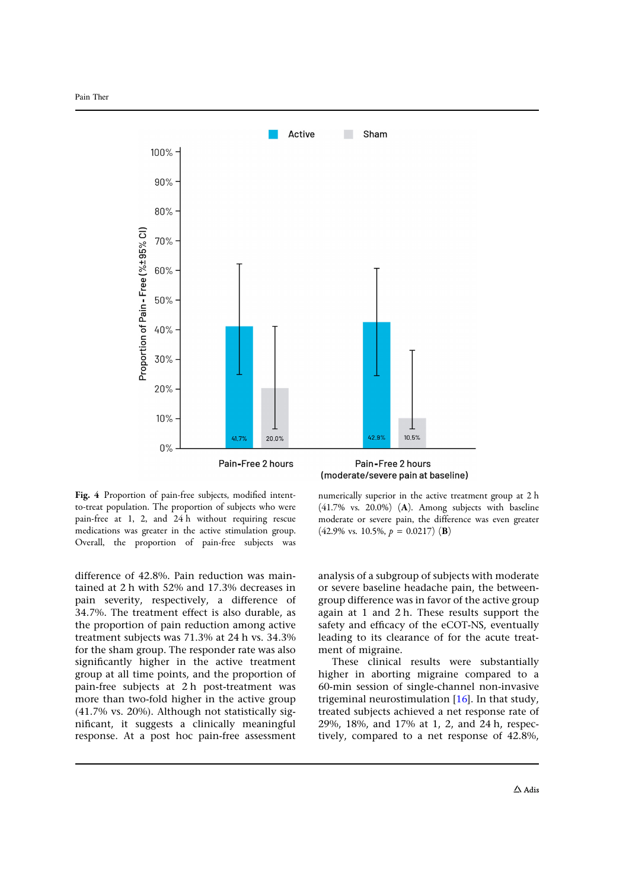

Pain-Free 2 hours



Fig. 4 Proportion of pain-free subjects, modified intentto-treat population. The proportion of subjects who were pain-free at 1, 2, and 24 h without requiring rescue medications was greater in the active stimulation group. Overall, the proportion of pain-free subjects was

difference of 42.8%. Pain reduction was maintained at 2 h with 52% and 17.3% decreases in pain severity, respectively, a difference of 34.7%. The treatment effect is also durable, as the proportion of pain reduction among active treatment subjects was 71.3% at 24 h vs. 34.3% for the sham group. The responder rate was also significantly higher in the active treatment group at all time points, and the proportion of pain-free subjects at 2 h post-treatment was more than two-fold higher in the active group (41.7% vs. 20%). Although not statistically significant, it suggests a clinically meaningful response. At a post hoc pain-free assessment numerically superior in the active treatment group at 2 h (41.7% vs. 20.0%) (A). Among subjects with baseline moderate or severe pain, the difference was even greater  $(42.9\% \text{ vs. } 10.5\%, p = 0.0217) \text{ (B)}$ 

analysis of a subgroup of subjects with moderate or severe baseline headache pain, the betweengroup difference was in favor of the active group again at 1 and 2 h. These results support the safety and efficacy of the eCOT-NS, eventually leading to its clearance of for the acute treatment of migraine.

These clinical results were substantially higher in aborting migraine compared to a 60-min session of single-channel non-invasive trigeminal neurostimulation [16]. In that study, treated subjects achieved a net response rate of 29%, 18%, and 17% at 1, 2, and 24 h, respectively, compared to a net response of 42.8%,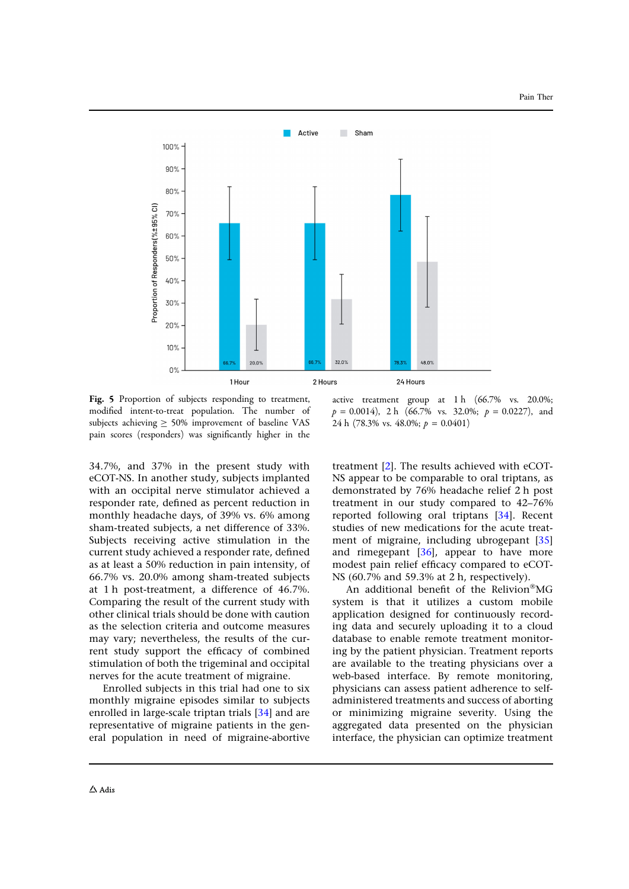

Fig. 5 Proportion of subjects responding to treatment, modified intent-to-treat population. The number of subjects achieving  $\geq 50\%$  improvement of baseline VAS pain scores (responders) was significantly higher in the

active treatment group at 1 h (66.7% vs. 20.0%;  $p = 0.0014$ , 2 h (66.7% vs. 32.0%;  $p = 0.0227$ ), and 24 h (78.3% vs. 48.0%;  $p = 0.0401$ )

34.7%, and 37% in the present study with eCOT-NS. In another study, subjects implanted with an occipital nerve stimulator achieved a responder rate, defined as percent reduction in monthly headache days, of 39% vs. 6% among sham-treated subjects, a net difference of 33%. Subjects receiving active stimulation in the current study achieved a responder rate, defined as at least a 50% reduction in pain intensity, of 66.7% vs. 20.0% among sham-treated subjects at 1 h post-treatment, a difference of 46.7%. Comparing the result of the current study with other clinical trials should be done with caution as the selection criteria and outcome measures may vary; nevertheless, the results of the current study support the efficacy of combined stimulation of both the trigeminal and occipital nerves for the acute treatment of migraine.

Enrolled subjects in this trial had one to six monthly migraine episodes similar to subjects enrolled in large-scale triptan trials [34] and are representative of migraine patients in the general population in need of migraine-abortive treatment [2]. The results achieved with eCOT-NS appear to be comparable to oral triptans, as demonstrated by 76% headache relief 2 h post treatment in our study compared to 42–76% reported following oral triptans [34]. Recent studies of new medications for the acute treatment of migraine, including ubrogepant [35] and rimegepant  $[36]$ , appear to have more modest pain relief efficacy compared to eCOT-NS (60.7% and 59.3% at 2 h, respectively).

An additional benefit of the Relivion<sup>®</sup>MG system is that it utilizes a custom mobile application designed for continuously recording data and securely uploading it to a cloud database to enable remote treatment monitoring by the patient physician. Treatment reports are available to the treating physicians over a web-based interface. By remote monitoring, physicians can assess patient adherence to selfadministered treatments and success of aborting or minimizing migraine severity. Using the aggregated data presented on the physician interface, the physician can optimize treatment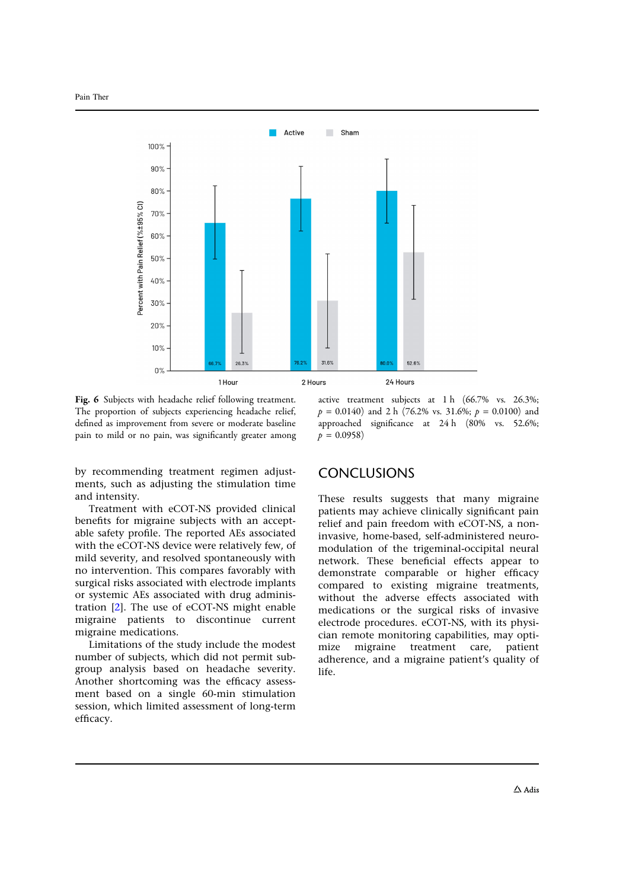

Fig. 6 Subjects with headache relief following treatment. The proportion of subjects experiencing headache relief, defined as improvement from severe or moderate baseline pain to mild or no pain, was significantly greater among

active treatment subjects at 1 h (66.7% vs. 26.3%;  $p = 0.0140$  and 2 h (76.2% vs. 31.6%;  $p = 0.0100$ ) and approached significance at 24 h (80% vs. 52.6%;  $p = 0.0958$ 

by recommending treatment regimen adjustments, such as adjusting the stimulation time and intensity.

Treatment with eCOT-NS provided clinical benefits for migraine subjects with an acceptable safety profile. The reported AEs associated with the eCOT-NS device were relatively few, of mild severity, and resolved spontaneously with no intervention. This compares favorably with surgical risks associated with electrode implants or systemic AEs associated with drug administration [2]. The use of eCOT-NS might enable migraine patients to discontinue current migraine medications.

Limitations of the study include the modest number of subjects, which did not permit subgroup analysis based on headache severity. Another shortcoming was the efficacy assessment based on a single 60-min stimulation session, which limited assessment of long-term efficacy.

### **CONCLUSIONS**

These results suggests that many migraine patients may achieve clinically significant pain relief and pain freedom with eCOT-NS, a noninvasive, home-based, self-administered neuromodulation of the trigeminal-occipital neural network. These beneficial effects appear to demonstrate comparable or higher efficacy compared to existing migraine treatments, without the adverse effects associated with medications or the surgical risks of invasive electrode procedures. eCOT-NS, with its physician remote monitoring capabilities, may optimize migraine treatment care, patient adherence, and a migraine patient's quality of life.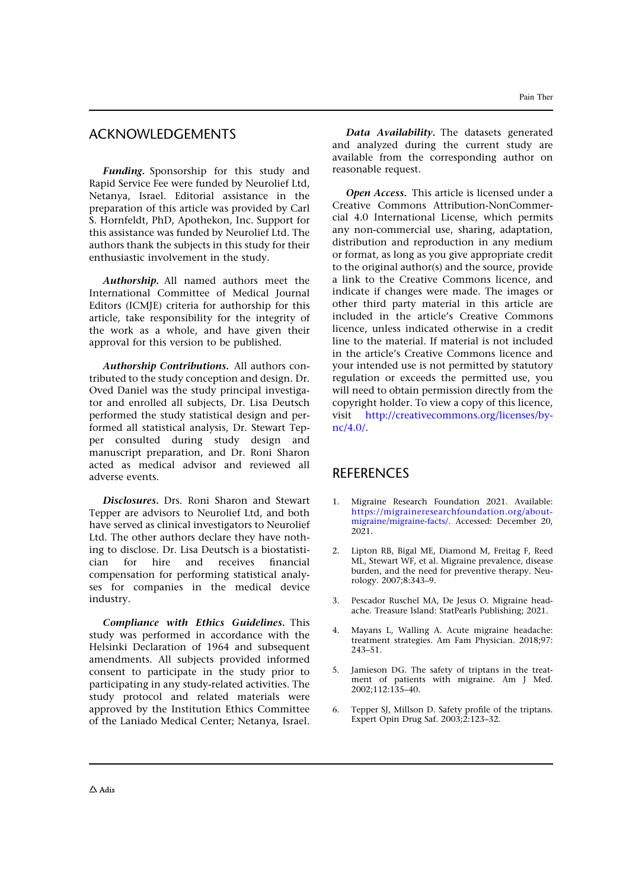### ACKNOWLEDGEMENTS

Funding. Sponsorship for this study and Rapid Service Fee were funded by Neurolief Ltd, Netanya, Israel. Editorial assistance in the preparation of this article was provided by Carl S. Hornfeldt, PhD, Apothekon, Inc. Support for this assistance was funded by Neurolief Ltd. The authors thank the subjects in this study for their enthusiastic involvement in the study.

Authorship. All named authors meet the International Committee of Medical Journal Editors (ICMJE) criteria for authorship for this article, take responsibility for the integrity of the work as a whole, and have given their approval for this version to be published.

Authorship Contributions. All authors contributed to the study conception and design. Dr. Oved Daniel was the study principal investigator and enrolled all subjects, Dr. Lisa Deutsch performed the study statistical design and performed all statistical analysis, Dr. Stewart Tepper consulted during study design and manuscript preparation, and Dr. Roni Sharon acted as medical advisor and reviewed all adverse events.

Disclosures. Drs. Roni Sharon and Stewart Tepper are advisors to Neurolief Ltd, and both have served as clinical investigators to Neurolief Ltd. The other authors declare they have nothing to disclose. Dr. Lisa Deutsch is a biostatistician for hire and receives financial compensation for performing statistical analyses for companies in the medical device industry.

Compliance with Ethics Guidelines. This study was performed in accordance with the Helsinki Declaration of 1964 and subsequent amendments. All subjects provided informed consent to participate in the study prior to participating in any study-related activities. The study protocol and related materials were approved by the Institution Ethics Committee of the Laniado Medical Center; Netanya, Israel.

Data Availability. The datasets generated and analyzed during the current study are available from the corresponding author on reasonable request.

Open Access. This article is licensed under a Creative Commons Attribution-NonCommercial 4.0 International License, which permits any non-commercial use, sharing, adaptation, distribution and reproduction in any medium or format, as long as you give appropriate credit to the original author(s) and the source, provide a link to the Creative Commons licence, and indicate if changes were made. The images or other third party material in this article are included in the article's Creative Commons licence, unless indicated otherwise in a credit line to the material. If material is not included in the article's Creative Commons licence and your intended use is not permitted by statutory regulation or exceeds the permitted use, you will need to obtain permission directly from the copyright holder. To view a copy of this licence, visit http://creativecommons.org/licenses/bync/4.0/.

### **REFERENCES**

- 1. Migraine Research Foundation 2021. Available: https://migraineresearchfoundation.org/aboutmigraine/migraine-facts/. Accessed: December 20, 2021.
- 2. Lipton RB, Bigal ME, Diamond M, Freitag F, Reed ML, Stewart WF, et al. Migraine prevalence, disease burden, and the need for preventive therapy. Neurology. 2007;8:343–9.
- 3. Pescador Ruschel MA, De Jesus O. Migraine headache. Treasure Island: StatPearls Publishing; 2021.
- 4. Mayans L, Walling A. Acute migraine headache: treatment strategies. Am Fam Physician. 2018;97: 243–51.
- 5. Jamieson DG. The safety of triptans in the treatment of patients with migraine. Am J Med. 2002;112:135–40.
- 6. Tepper SJ, Millson D. Safety profile of the triptans. Expert Opin Drug Saf. 2003;2:123–32.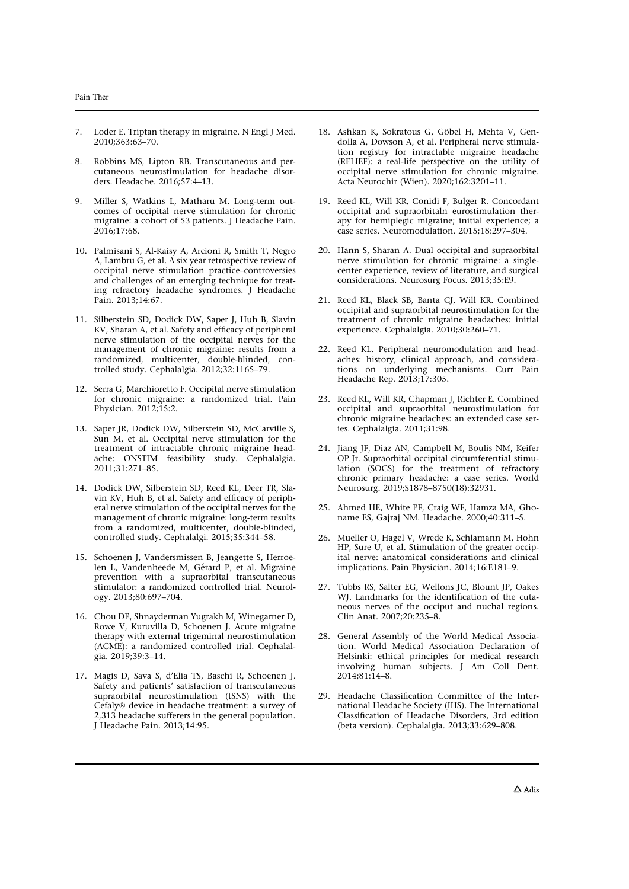- 7. Loder E. Triptan therapy in migraine. N Engl J Med. 2010;363:63–70.
- 8. Robbins MS, Lipton RB. Transcutaneous and percutaneous neurostimulation for headache disorders. Headache. 2016;57:4–13.
- Miller S, Watkins L, Matharu M. Long-term outcomes of occipital nerve stimulation for chronic migraine: a cohort of 53 patients. J Headache Pain. 2016;17:68.
- 10. Palmisani S, Al-Kaisy A, Arcioni R, Smith T, Negro A, Lambru G, et al. A six year retrospective review of occipital nerve stimulation practice–controversies and challenges of an emerging technique for treating refractory headache syndromes. J Headache Pain. 2013;14:67.
- 11. Silberstein SD, Dodick DW, Saper J, Huh B, Slavin KV, Sharan A, et al. Safety and efficacy of peripheral nerve stimulation of the occipital nerves for the management of chronic migraine: results from a randomized, multicenter, double-blinded, controlled study. Cephalalgia. 2012;32:1165–79.
- 12. Serra G, Marchioretto F. Occipital nerve stimulation for chronic migraine: a randomized trial. Pain Physician. 2012;15:2.
- 13. Saper JR, Dodick DW, Silberstein SD, McCarville S, Sun M, et al. Occipital nerve stimulation for the treatment of intractable chronic migraine headache: ONSTIM feasibility study. Cephalalgia. 2011;31:271–85.
- 14. Dodick DW, Silberstein SD, Reed KL, Deer TR, Slavin KV, Huh B, et al. Safety and efficacy of peripheral nerve stimulation of the occipital nerves for the management of chronic migraine: long-term results from a randomized, multicenter, double-blinded, controlled study. Cephalalgi. 2015;35:344–58.
- 15. Schoenen J, Vandersmissen B, Jeangette S, Herroelen L, Vandenheede M, Gérard P, et al. Migraine prevention with a supraorbital transcutaneous stimulator: a randomized controlled trial. Neurology. 2013;80:697–704.
- 16. Chou DE, Shnayderman Yugrakh M, Winegarner D, Rowe V, Kuruvilla D, Schoenen J. Acute migraine therapy with external trigeminal neurostimulation (ACME): a randomized controlled trial. Cephalalgia. 2019;39:3–14.
- 17. Magis D, Sava S, d'Elia TS, Baschi R, Schoenen J. Safety and patients' satisfaction of transcutaneous supraorbital neurostimulation (tSNS) with the Cefaly® device in headache treatment: a survey of 2,313 headache sufferers in the general population. J Headache Pain. 2013;14:95.
- 18. Ashkan K, Sokratous G, Göbel H, Mehta V, Gendolla A, Dowson A, et al. Peripheral nerve stimulation registry for intractable migraine headache (RELIEF): a real-life perspective on the utility of occipital nerve stimulation for chronic migraine. Acta Neurochir (Wien). 2020;162:3201–11.
- 19. Reed KL, Will KR, Conidi F, Bulger R. Concordant occipital and supraorbitaln eurostimulation therapy for hemiplegic migraine; initial experience; a case series. Neuromodulation. 2015;18:297–304.
- 20. Hann S, Sharan A. Dual occipital and supraorbital nerve stimulation for chronic migraine: a singlecenter experience, review of literature, and surgical considerations. Neurosurg Focus. 2013;35:E9.
- 21. Reed KL, Black SB, Banta CJ, Will KR. Combined occipital and supraorbital neurostimulation for the treatment of chronic migraine headaches: initial experience. Cephalalgia. 2010;30:260–71.
- 22. Reed KL. Peripheral neuromodulation and headaches: history, clinical approach, and considerations on underlying mechanisms. Curr Pain Headache Rep. 2013;17:305.
- 23. Reed KL, Will KR, Chapman J, Richter E. Combined occipital and supraorbital neurostimulation for chronic migraine headaches: an extended case series. Cephalalgia. 2011;31:98.
- 24. Jiang JF, Diaz AN, Campbell M, Boulis NM, Keifer OP Jr. Supraorbital occipital circumferential stimulation (SOCS) for the treatment of refractory chronic primary headache: a case series. World Neurosurg. 2019;S1878–8750(18):32931.
- 25. Ahmed HE, White PF, Craig WF, Hamza MA, Ghoname ES, Gajraj NM. Headache. 2000;40:311–5.
- 26. Mueller O, Hagel V, Wrede K, Schlamann M, Hohn HP, Sure U, et al. Stimulation of the greater occipital nerve: anatomical considerations and clinical implications. Pain Physician. 2014;16:E181–9.
- 27. Tubbs RS, Salter EG, Wellons JC, Blount JP, Oakes WJ. Landmarks for the identification of the cutaneous nerves of the occiput and nuchal regions. Clin Anat. 2007;20:235–8.
- 28. General Assembly of the World Medical Association. World Medical Association Declaration of Helsinki: ethical principles for medical research involving human subjects. J Am Coll Dent. 2014;81:14–8.
- 29. Headache Classification Committee of the International Headache Society (IHS). The International Classification of Headache Disorders, 3rd edition (beta version). Cephalalgia. 2013;33:629–808.